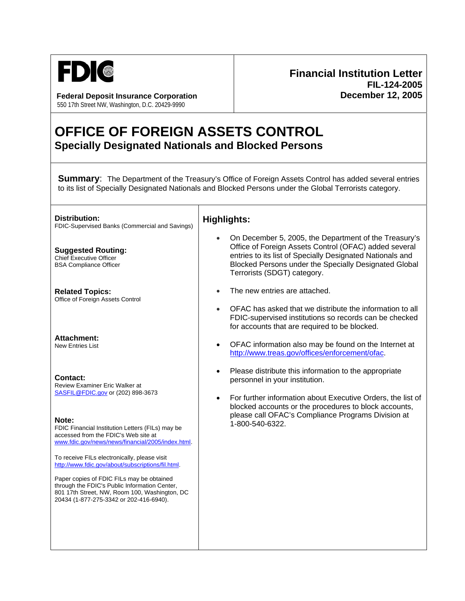

**Federal Deposit Insurance Corporation December 12, 2005** 550 17th Street NW, Washington, D.C. 20429-9990

## **Financial Institution Letter FIL-124-2005**

## **OFFICE OF FOREIGN ASSETS CONTROL Specially Designated Nationals and Blocked Persons**

┑

**Summary:** The Department of the Treasury's Office of Foreign Assets Control has added several entries to its list of Specially Designated Nationals and Blocked Persons under the Global Terrorists category.

| Distribution:<br>FDIC-Supervised Banks (Commercial and Savings)                                                                                                                                                                             | <b>Highlights:</b>                                                                                                                                                                                                                                                  |
|---------------------------------------------------------------------------------------------------------------------------------------------------------------------------------------------------------------------------------------------|---------------------------------------------------------------------------------------------------------------------------------------------------------------------------------------------------------------------------------------------------------------------|
| <b>Suggested Routing:</b><br><b>Chief Executive Officer</b><br><b>BSA Compliance Officer</b>                                                                                                                                                | On December 5, 2005, the Department of the Treasury's<br>Office of Foreign Assets Control (OFAC) added several<br>entries to its list of Specially Designated Nationals and<br>Blocked Persons under the Specially Designated Global<br>Terrorists (SDGT) category. |
| <b>Related Topics:</b><br>Office of Foreign Assets Control                                                                                                                                                                                  | The new entries are attached.<br>OFAC has asked that we distribute the information to all<br>FDIC-supervised institutions so records can be checked<br>for accounts that are required to be blocked.                                                                |
| <b>Attachment:</b><br><b>New Entries List</b>                                                                                                                                                                                               | OFAC information also may be found on the Internet at<br>$\bullet$<br>http://www.treas.gov/offices/enforcement/ofac.                                                                                                                                                |
| <b>Contact:</b><br>Review Examiner Eric Walker at<br>SASFIL@FDIC.gov or (202) 898-3673                                                                                                                                                      | Please distribute this information to the appropriate<br>$\bullet$<br>personnel in your institution.<br>For further information about Executive Orders, the list of<br>$\bullet$<br>blocked accounts or the procedures to block accounts,                           |
| Note:<br>FDIC Financial Institution Letters (FILs) may be<br>accessed from the FDIC's Web site at<br>www.fdic.gov/news/news/financial/2005/index.html.<br>To receive FILs electronically, please visit                                      | please call OFAC's Compliance Programs Division at<br>1-800-540-6322.                                                                                                                                                                                               |
| http://www.fdic.gov/about/subscriptions/fil.html.<br>Paper copies of FDIC FILs may be obtained<br>through the FDIC's Public Information Center,<br>801 17th Street, NW, Room 100, Washington, DC<br>20434 (1-877-275-3342 or 202-416-6940). |                                                                                                                                                                                                                                                                     |
|                                                                                                                                                                                                                                             |                                                                                                                                                                                                                                                                     |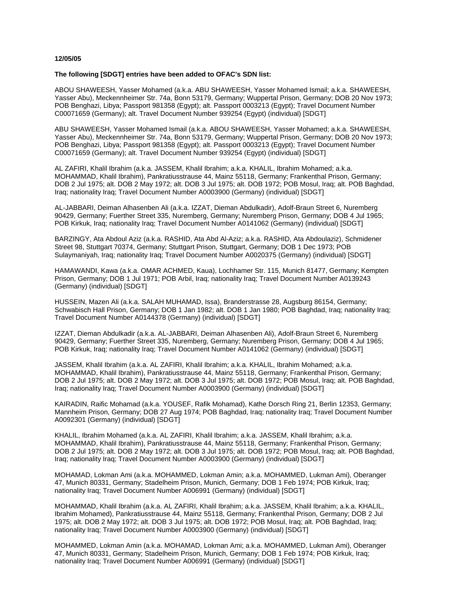## **12/05/05**

## **The following [SDGT] entries have been added to OFAC's SDN list:**

ABOU SHAWEESH, Yasser Mohamed (a.k.a. ABU SHAWEESH, Yasser Mohamed Ismail; a.k.a. SHAWEESH, Yasser Abu), Meckennheimer Str. 74a, Bonn 53179, Germany; Wuppertal Prison, Germany; DOB 20 Nov 1973; POB Benghazi, Libya; Passport 981358 (Egypt); alt. Passport 0003213 (Egypt); Travel Document Number C00071659 (Germany); alt. Travel Document Number 939254 (Egypt) (individual) [SDGT]

ABU SHAWEESH, Yasser Mohamed Ismail (a.k.a. ABOU SHAWEESH, Yasser Mohamed; a.k.a. SHAWEESH, Yasser Abu), Meckennheimer Str. 74a, Bonn 53179, Germany; Wuppertal Prison, Germany; DOB 20 Nov 1973; POB Benghazi, Libya; Passport 981358 (Egypt); alt. Passport 0003213 (Egypt); Travel Document Number C00071659 (Germany); alt. Travel Document Number 939254 (Egypt) (individual) [SDGT]

AL ZAFIRI, Khalil Ibrahim (a.k.a. JASSEM, Khalil Ibrahim; a.k.a. KHALIL, Ibrahim Mohamed; a.k.a. MOHAMMAD, Khalil Ibrahim), Pankratiusstrause 44, Mainz 55118, Germany; Frankenthal Prison, Germany; DOB 2 Jul 1975; alt. DOB 2 May 1972; alt. DOB 3 Jul 1975; alt. DOB 1972; POB Mosul, Iraq; alt. POB Baghdad, Iraq; nationality Iraq; Travel Document Number A0003900 (Germany) (individual) [SDGT]

AL-JABBARI, Deiman Alhasenben Ali (a.k.a. IZZAT, Dieman Abdulkadir), Adolf-Braun Street 6, Nuremberg 90429, Germany; Fuerther Street 335, Nuremberg, Germany; Nuremberg Prison, Germany; DOB 4 Jul 1965; POB Kirkuk, Iraq; nationality Iraq; Travel Document Number A0141062 (Germany) (individual) [SDGT]

BARZINGY, Ata Abdoul Aziz (a.k.a. RASHID, Ata Abd Al-Aziz; a.k.a. RASHID, Ata Abdoulaziz), Schmidener Street 98, Stuttgart 70374, Germany; Stuttgart Prison, Stuttgart, Germany; DOB 1 Dec 1973; POB Sulaymaniyah, Iraq; nationality Iraq; Travel Document Number A0020375 (Germany) (individual) [SDGT]

HAMAWANDI, Kawa (a.k.a. OMAR ACHMED, Kaua), Lochhamer Str. 115, Munich 81477, Germany; Kempten Prison, Germany; DOB 1 Jul 1971; POB Arbil, Iraq; nationality Iraq; Travel Document Number A0139243 (Germany) (individual) [SDGT]

HUSSEIN, Mazen Ali (a.k.a. SALAH MUHAMAD, Issa), Branderstrasse 28, Augsburg 86154, Germany; Schwabisch Hall Prison, Germany; DOB 1 Jan 1982; alt. DOB 1 Jan 1980; POB Baghdad, Iraq; nationality Iraq; Travel Document Number A0144378 (Germany) (individual) [SDGT]

IZZAT, Dieman Abdulkadir (a.k.a. AL-JABBARI, Deiman Alhasenben Ali), Adolf-Braun Street 6, Nuremberg 90429, Germany; Fuerther Street 335, Nuremberg, Germany; Nuremberg Prison, Germany; DOB 4 Jul 1965; POB Kirkuk, Iraq; nationality Iraq; Travel Document Number A0141062 (Germany) (individual) [SDGT]

JASSEM, Khalil Ibrahim (a.k.a. AL ZAFIRI, Khalil Ibrahim; a.k.a. KHALIL, Ibrahim Mohamed; a.k.a. MOHAMMAD, Khalil Ibrahim), Pankratiusstrause 44, Mainz 55118, Germany; Frankenthal Prison, Germany; DOB 2 Jul 1975; alt. DOB 2 May 1972; alt. DOB 3 Jul 1975; alt. DOB 1972; POB Mosul, Iraq; alt. POB Baghdad, Iraq; nationality Iraq; Travel Document Number A0003900 (Germany) (individual) [SDGT]

KAIRADIN, Raific Mohamad (a.k.a. YOUSEF, Rafik Mohamad), Kathe Dorsch Ring 21, Berlin 12353, Germany; Mannheim Prison, Germany; DOB 27 Aug 1974; POB Baghdad, Iraq; nationality Iraq; Travel Document Number A0092301 (Germany) (individual) [SDGT]

KHALIL, Ibrahim Mohamed (a.k.a. AL ZAFIRI, Khalil Ibrahim; a.k.a. JASSEM, Khalil Ibrahim; a.k.a. MOHAMMAD, Khalil Ibrahim), Pankratiusstrause 44, Mainz 55118, Germany; Frankenthal Prison, Germany; DOB 2 Jul 1975; alt. DOB 2 May 1972; alt. DOB 3 Jul 1975; alt. DOB 1972; POB Mosul, Iraq; alt. POB Baghdad, Iraq; nationality Iraq; Travel Document Number A0003900 (Germany) (individual) [SDGT]

MOHAMAD, Lokman Ami (a.k.a. MOHAMMED, Lokman Amin; a.k.a. MOHAMMED, Lukman Ami), Oberanger 47, Munich 80331, Germany; Stadelheim Prison, Munich, Germany; DOB 1 Feb 1974; POB Kirkuk, Iraq; nationality Iraq; Travel Document Number A006991 (Germany) (individual) [SDGT]

MOHAMMAD, Khalil Ibrahim (a.k.a. AL ZAFIRI, Khalil Ibrahim; a.k.a. JASSEM, Khalil Ibrahim; a.k.a. KHALIL, Ibrahim Mohamed), Pankratiusstrause 44, Mainz 55118, Germany; Frankenthal Prison, Germany; DOB 2 Jul 1975; alt. DOB 2 May 1972; alt. DOB 3 Jul 1975; alt. DOB 1972; POB Mosul, Iraq; alt. POB Baghdad, Iraq; nationality Iraq; Travel Document Number A0003900 (Germany) (individual) [SDGT]

MOHAMMED, Lokman Amin (a.k.a. MOHAMAD, Lokman Ami; a.k.a. MOHAMMED, Lukman Ami), Oberanger 47, Munich 80331, Germany; Stadelheim Prison, Munich, Germany; DOB 1 Feb 1974; POB Kirkuk, Iraq; nationality Iraq; Travel Document Number A006991 (Germany) (individual) [SDGT]